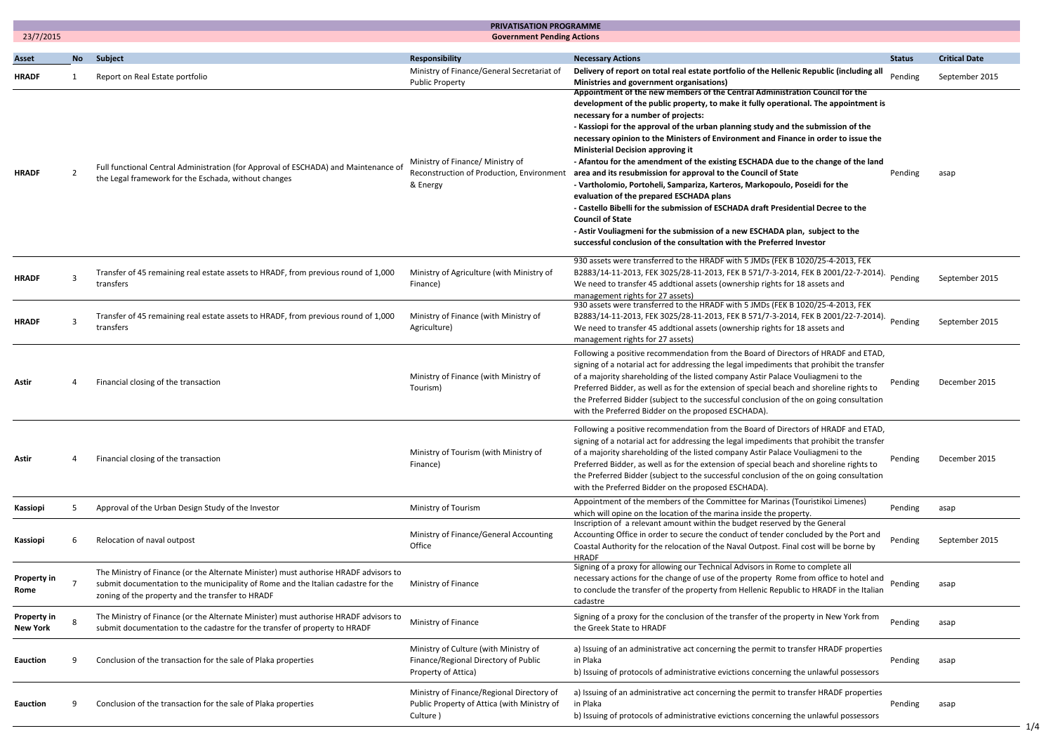|                                |                | <b>PRIVATISATION PROGRAMME</b>                                                                                                                                                                                                |                                                                                                                                                                   |                                                                                                                                                                                                                                                                                                                                                                                                                                                                                                                                                                                                                                                                                                                                                                                                                                                                                                                                                                                                                                                                                                                                        |                    |                        |  |
|--------------------------------|----------------|-------------------------------------------------------------------------------------------------------------------------------------------------------------------------------------------------------------------------------|-------------------------------------------------------------------------------------------------------------------------------------------------------------------|----------------------------------------------------------------------------------------------------------------------------------------------------------------------------------------------------------------------------------------------------------------------------------------------------------------------------------------------------------------------------------------------------------------------------------------------------------------------------------------------------------------------------------------------------------------------------------------------------------------------------------------------------------------------------------------------------------------------------------------------------------------------------------------------------------------------------------------------------------------------------------------------------------------------------------------------------------------------------------------------------------------------------------------------------------------------------------------------------------------------------------------|--------------------|------------------------|--|
| 23/7/2015                      |                |                                                                                                                                                                                                                               | <b>Government Pending Actions</b>                                                                                                                                 |                                                                                                                                                                                                                                                                                                                                                                                                                                                                                                                                                                                                                                                                                                                                                                                                                                                                                                                                                                                                                                                                                                                                        |                    |                        |  |
| <b>Asset</b>                   |                | No Subject                                                                                                                                                                                                                    | Responsibility                                                                                                                                                    | <b>Necessary Actions</b>                                                                                                                                                                                                                                                                                                                                                                                                                                                                                                                                                                                                                                                                                                                                                                                                                                                                                                                                                                                                                                                                                                               | <b>Status</b>      | <b>Critical Date</b>   |  |
| <b>HRADF</b><br><b>HRADF</b>   | $\overline{2}$ | Report on Real Estate portfolio<br>Full functional Central Administration (for Approval of ESCHADA) and Maintenance of<br>the Legal framework for the Eschada, without changes                                                | Ministry of Finance/General Secretariat of<br><b>Public Property</b><br>Ministry of Finance/ Ministry of<br>Reconstruction of Production, Environment<br>& Energy | Delivery of report on total real estate portfolio of the Hellenic Republic (including all<br>Ministries and government organisations)<br>Appointment of the new members of the Central Administration Council for the<br>development of the public property, to make it fully operational. The appointment is<br>necessary for a number of projects:<br>- Kassiopi for the approval of the urban planning study and the submission of the<br>necessary opinion to the Ministers of Environment and Finance in order to issue the<br><b>Ministerial Decision approving it</b><br>- Afantou for the amendment of the existing ESCHADA due to the change of the land<br>area and its resubmission for approval to the Council of State<br>- Vartholomio, Portoheli, Sampariza, Karteros, Markopoulo, Poseidi for the<br>evaluation of the prepared ESCHADA plans<br>- Castello Bibelli for the submission of ESCHADA draft Presidential Decree to the<br><b>Council of State</b><br>- Astir Vouliagmeni for the submission of a new ESCHADA plan, subject to the<br>successful conclusion of the consultation with the Preferred Investor | Pending<br>Pending | September 2015<br>asap |  |
| <b>HRADF</b>                   | 3              | Transfer of 45 remaining real estate assets to HRADF, from previous round of 1,000<br>transfers                                                                                                                               | Ministry of Agriculture (with Ministry of<br>Finance)                                                                                                             | 930 assets were transferred to the HRADF with 5 JMDs (FEK B 1020/25-4-2013, FEK<br>B2883/14-11-2013, FEK 3025/28-11-2013, FEK B 571/7-3-2014, FEK B 2001/22-7-2014).<br>We need to transfer 45 addtional assets (ownership rights for 18 assets and<br>management rights for 27 assets)                                                                                                                                                                                                                                                                                                                                                                                                                                                                                                                                                                                                                                                                                                                                                                                                                                                | Pending            | September 2015         |  |
| <b>HRADF</b>                   | 3              | Transfer of 45 remaining real estate assets to HRADF, from previous round of 1,000<br>transfers                                                                                                                               | Ministry of Finance (with Ministry of<br>Agriculture)                                                                                                             | 930 assets were transferred to the HRADF with 5 JMDs (FEK B 1020/25-4-2013, FEK<br>B2883/14-11-2013, FEK 3025/28-11-2013, FEK B 571/7-3-2014, FEK B 2001/22-7-2014).<br>We need to transfer 45 addtional assets (ownership rights for 18 assets and<br>management rights for 27 assets)                                                                                                                                                                                                                                                                                                                                                                                                                                                                                                                                                                                                                                                                                                                                                                                                                                                | Pending            | September 2015         |  |
| Astir                          | 4              | Financial closing of the transaction                                                                                                                                                                                          | Ministry of Finance (with Ministry of<br>Tourism)                                                                                                                 | Following a positive recommendation from the Board of Directors of HRADF and ETAD,<br>signing of a notarial act for addressing the legal impediments that prohibit the transfer<br>of a majority shareholding of the listed company Astir Palace Vouliagmeni to the<br>Preferred Bidder, as well as for the extension of special beach and shoreline rights to<br>the Preferred Bidder (subject to the successful conclusion of the on going consultation<br>with the Preferred Bidder on the proposed ESCHADA).                                                                                                                                                                                                                                                                                                                                                                                                                                                                                                                                                                                                                       | Pending            | December 2015          |  |
| Astir                          | 4              | Financial closing of the transaction                                                                                                                                                                                          | Ministry of Tourism (with Ministry of<br>Finance)                                                                                                                 | Following a positive recommendation from the Board of Directors of HRADF and ETAD,<br>signing of a notarial act for addressing the legal impediments that prohibit the transfer<br>of a majority shareholding of the listed company Astir Palace Vouliagmeni to the<br>Preferred Bidder, as well as for the extension of special beach and shoreline rights to<br>the Preferred Bidder (subject to the successful conclusion of the on going consultation<br>with the Preferred Bidder on the proposed ESCHADA).                                                                                                                                                                                                                                                                                                                                                                                                                                                                                                                                                                                                                       | Pending            | December 2015          |  |
| Kassiopi                       | 5              | Approval of the Urban Design Study of the Investor                                                                                                                                                                            | Ministry of Tourism                                                                                                                                               | Appointment of the members of the Committee for Marinas (Touristikoi Limenes)<br>which will opine on the location of the marina inside the property.<br>Inscription of a relevant amount within the budget reserved by the General                                                                                                                                                                                                                                                                                                                                                                                                                                                                                                                                                                                                                                                                                                                                                                                                                                                                                                     | Pending            | asap                   |  |
| Kassiopi                       |                | Relocation of naval outpost                                                                                                                                                                                                   | Ministry of Finance/General Accounting<br>Office                                                                                                                  | Accounting Office in order to secure the conduct of tender concluded by the Port and<br>Coastal Authority for the relocation of the Naval Outpost. Final cost will be borne by<br><b>HRADF</b>                                                                                                                                                                                                                                                                                                                                                                                                                                                                                                                                                                                                                                                                                                                                                                                                                                                                                                                                         | Pending            | September 2015         |  |
| Property in<br>Rome            |                | The Ministry of Finance (or the Alternate Minister) must authorise HRADF advisors to<br>submit documentation to the municipality of Rome and the Italian cadastre for the<br>zoning of the property and the transfer to HRADF | Ministry of Finance                                                                                                                                               | Signing of a proxy for allowing our Technical Advisors in Rome to complete all<br>necessary actions for the change of use of the property Rome from office to hotel and<br>to conclude the transfer of the property from Hellenic Republic to HRADF in the Italian<br>cadastre                                                                                                                                                                                                                                                                                                                                                                                                                                                                                                                                                                                                                                                                                                                                                                                                                                                         | Pending            | asap                   |  |
| <b>Property in</b><br>New York |                | The Ministry of Finance (or the Alternate Minister) must authorise HRADF advisors to<br>submit documentation to the cadastre for the transfer of property to HRADF                                                            | Ministry of Finance                                                                                                                                               | Signing of a proxy for the conclusion of the transfer of the property in New York from<br>the Greek State to HRADF                                                                                                                                                                                                                                                                                                                                                                                                                                                                                                                                                                                                                                                                                                                                                                                                                                                                                                                                                                                                                     | Pending            | asap                   |  |
| <b>Eauction</b>                |                | Conclusion of the transaction for the sale of Plaka properties                                                                                                                                                                | Ministry of Culture (with Ministry of<br>Finance/Regional Directory of Public<br>Property of Attica)                                                              | a) Issuing of an administrative act concerning the permit to transfer HRADF properties<br>in Plaka<br>b) Issuing of protocols of administrative evictions concerning the unlawful possessors                                                                                                                                                                                                                                                                                                                                                                                                                                                                                                                                                                                                                                                                                                                                                                                                                                                                                                                                           | Pending            | asap                   |  |
| <b>Eauction</b>                | q              | Conclusion of the transaction for the sale of Plaka properties                                                                                                                                                                | Ministry of Finance/Regional Directory of<br>Public Property of Attica (with Ministry of<br>Culture)                                                              | a) Issuing of an administrative act concerning the permit to transfer HRADF properties<br>in Plaka<br>b) Issuing of protocols of administrative evictions concerning the unlawful possessors                                                                                                                                                                                                                                                                                                                                                                                                                                                                                                                                                                                                                                                                                                                                                                                                                                                                                                                                           | Pending            | asap                   |  |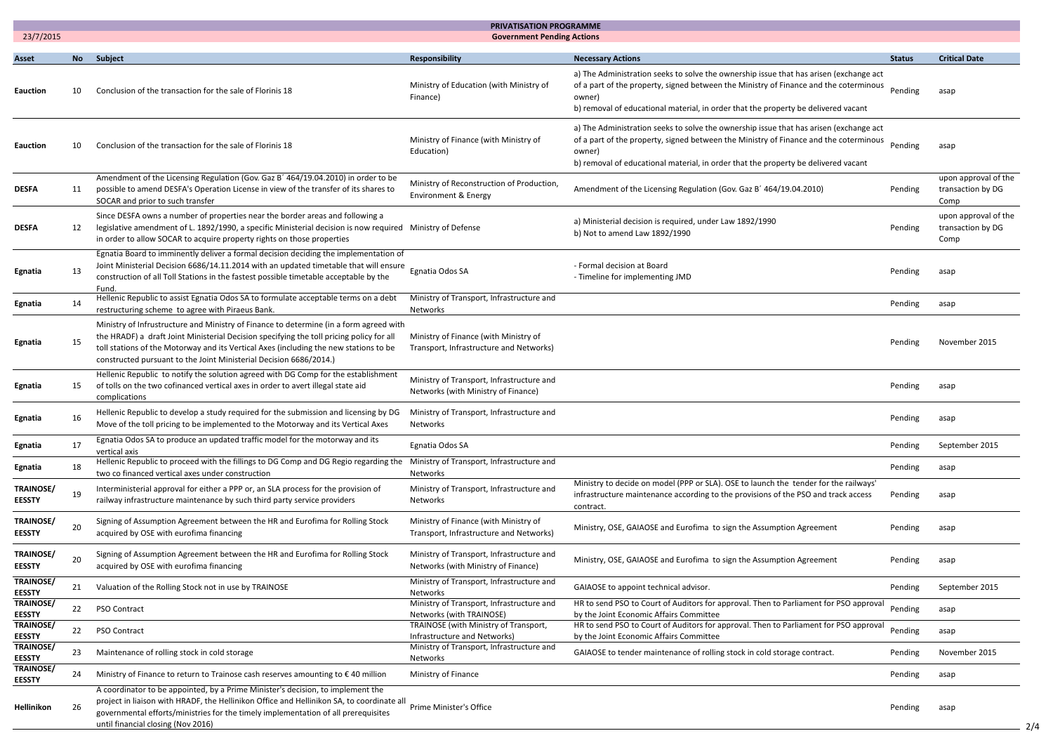|                                   | <b>PRIVATISATION PROGRAMME</b><br><b>Government Pending Actions</b> |                                                                                                                                                                                                                                                                                                                                                   |                                                                                  |                                                                                                                                                                                                                                                                                 |               |                                                   |
|-----------------------------------|---------------------------------------------------------------------|---------------------------------------------------------------------------------------------------------------------------------------------------------------------------------------------------------------------------------------------------------------------------------------------------------------------------------------------------|----------------------------------------------------------------------------------|---------------------------------------------------------------------------------------------------------------------------------------------------------------------------------------------------------------------------------------------------------------------------------|---------------|---------------------------------------------------|
| 23/7/2015                         |                                                                     |                                                                                                                                                                                                                                                                                                                                                   |                                                                                  |                                                                                                                                                                                                                                                                                 |               |                                                   |
| <b>Asset</b>                      |                                                                     | No Subject                                                                                                                                                                                                                                                                                                                                        | Responsibility                                                                   | <b>Necessary Actions</b>                                                                                                                                                                                                                                                        | <b>Status</b> | <b>Critical Date</b>                              |
| <b>Eauction</b>                   | 10                                                                  | Conclusion of the transaction for the sale of Florinis 18                                                                                                                                                                                                                                                                                         | Ministry of Education (with Ministry of<br>Finance)                              | a) The Administration seeks to solve the ownership issue that has arisen (exchange act<br>of a part of the property, signed between the Ministry of Finance and the coterminous<br>owner)<br>b) removal of educational material, in order that the property be delivered vacant | Pending       | asap                                              |
| <b>Eauction</b>                   | 10                                                                  | Conclusion of the transaction for the sale of Florinis 18                                                                                                                                                                                                                                                                                         | Ministry of Finance (with Ministry of<br>Education)                              | a) The Administration seeks to solve the ownership issue that has arisen (exchange act<br>of a part of the property, signed between the Ministry of Finance and the coterminous<br>owner)<br>b) removal of educational material, in order that the property be delivered vacant | Pending       | asap                                              |
| <b>DESFA</b>                      | -11                                                                 | Amendment of the Licensing Regulation (Gov. Gaz B' 464/19.04.2010) in order to be<br>possible to amend DESFA's Operation License in view of the transfer of its shares to<br>SOCAR and prior to such transfer                                                                                                                                     | Ministry of Reconstruction of Production,<br>Environment & Energy                | Amendment of the Licensing Regulation (Gov. Gaz B' 464/19.04.2010)                                                                                                                                                                                                              | Pending       | upon approval of the<br>transaction by DG<br>Comp |
| <b>DESFA</b>                      | 12                                                                  | Since DESFA owns a number of properties near the border areas and following a<br>legislative amendment of L. 1892/1990, a specific Ministerial decision is now required Ministry of Defense<br>in order to allow SOCAR to acquire property rights on those properties                                                                             |                                                                                  | a) Ministerial decision is required, under Law 1892/1990<br>b) Not to amend Law 1892/1990                                                                                                                                                                                       | Pending       | upon approval of the<br>transaction by DG<br>Comp |
| Egnatia                           | 13                                                                  | Egnatia Board to imminently deliver a formal decision deciding the implementation of<br>Joint Ministerial Decision 6686/14.11.2014 with an updated timetable that will ensure<br>construction of all Toll Stations in the fastest possible timetable acceptable by the<br>Fund.                                                                   | Egnatia Odos SA                                                                  | - Formal decision at Board<br>- Timeline for implementing JMD                                                                                                                                                                                                                   | Pending       | asap                                              |
| Egnatia                           | -14                                                                 | Hellenic Republic to assist Egnatia Odos SA to formulate acceptable terms on a debt<br>restructuring scheme to agree with Piraeus Bank.                                                                                                                                                                                                           | Ministry of Transport, Infrastructure and<br>Networks                            |                                                                                                                                                                                                                                                                                 | Pending       | asap                                              |
| Egnatia                           | 15                                                                  | Ministry of Infrustructure and Ministry of Finance to determine (in a form agreed with<br>the HRADF) a draft Joint Ministerial Decision specifying the toll pricing policy for all<br>toll stations of the Motorway and its Vertical Axes (including the new stations to be<br>constructed pursuant to the Joint Ministerial Decision 6686/2014.) | Ministry of Finance (with Ministry of<br>Transport, Infrastructure and Networks) |                                                                                                                                                                                                                                                                                 | Pending       | November 2015                                     |
| Egnatia                           | 15                                                                  | Hellenic Republic to notify the solution agreed with DG Comp for the establishment<br>of tolls on the two cofinanced vertical axes in order to avert illegal state aid<br>complications                                                                                                                                                           | Ministry of Transport, Infrastructure and<br>Networks (with Ministry of Finance) |                                                                                                                                                                                                                                                                                 | Pending       | asap                                              |
| Egnatia                           | 16                                                                  | Hellenic Republic to develop a study required for the submission and licensing by DG Ministry of Transport, Infrastructure and<br>Move of the toll pricing to be implemented to the Motorway and its Vertical Axes                                                                                                                                | Networks                                                                         |                                                                                                                                                                                                                                                                                 | Pending       | asap                                              |
| Egnatia                           | 17                                                                  | Egnatia Odos SA to produce an updated traffic model for the motorway and its<br>vertical axis                                                                                                                                                                                                                                                     | Egnatia Odos SA                                                                  |                                                                                                                                                                                                                                                                                 | Pending       | September 2015                                    |
| Egnatia                           | 18                                                                  | Hellenic Republic to proceed with the fillings to DG Comp and DG Regio regarding the<br>two co financed vertical axes under construction                                                                                                                                                                                                          | Ministry of Transport, Infrastructure and<br>Networks                            |                                                                                                                                                                                                                                                                                 | Pending       | asap                                              |
| TRAINOSE/<br><b>EESSTY</b>        | 19                                                                  | Interministerial approval for either a PPP or, an SLA process for the provision of<br>railway infrastructure maintenance by such third party service providers                                                                                                                                                                                    | Ministry of Transport, Infrastructure and<br>Networks                            | Ministry to decide on model (PPP or SLA). OSE to launch the tender for the railways'<br>infrastructure maintenance according to the provisions of the PSO and track access<br>contract.                                                                                         | Pending       | asap                                              |
| <b>TRAINOSE/</b><br><b>EESSTY</b> | 20                                                                  | Signing of Assumption Agreement between the HR and Eurofima for Rolling Stock<br>acquired by OSE with eurofima financing                                                                                                                                                                                                                          | Ministry of Finance (with Ministry of<br>Transport, Infrastructure and Networks) | Ministry, OSE, GAIAOSE and Eurofima to sign the Assumption Agreement                                                                                                                                                                                                            | Pending       | asap                                              |
| TRAINOSE/<br><b>EESSTY</b>        | 20                                                                  | Signing of Assumption Agreement between the HR and Eurofima for Rolling Stock<br>acquired by OSE with eurofima financing                                                                                                                                                                                                                          | Ministry of Transport, Infrastructure and<br>Networks (with Ministry of Finance) | Ministry, OSE, GAIAOSE and Eurofima to sign the Assumption Agreement                                                                                                                                                                                                            | Pending       | asap                                              |
| <b>TRAINOSE/</b><br><b>EESSTY</b> | 21                                                                  | Valuation of the Rolling Stock not in use by TRAINOSE                                                                                                                                                                                                                                                                                             | Ministry of Transport, Infrastructure and<br>Networks                            | GAIAOSE to appoint technical advisor.                                                                                                                                                                                                                                           | Pending       | September 2015                                    |
| <b>TRAINOSE/</b><br><b>EESSTY</b> | 22                                                                  | <b>PSO Contract</b>                                                                                                                                                                                                                                                                                                                               | Ministry of Transport, Infrastructure and<br>Networks (with TRAINOSE)            | HR to send PSO to Court of Auditors for approval. Then to Parliament for PSO approval<br>by the Joint Economic Affairs Committee                                                                                                                                                | Pending       | asap                                              |
| <b>TRAINOSE/</b><br><b>EESSTY</b> | 22                                                                  | <b>PSO Contract</b>                                                                                                                                                                                                                                                                                                                               | TRAINOSE (with Ministry of Transport,<br>Infrastructure and Networks)            | HR to send PSO to Court of Auditors for approval. Then to Parliament for PSO approval<br>by the Joint Economic Affairs Committee                                                                                                                                                | Pending       | asap                                              |
| TRAINOSE/<br><b>EESSTY</b>        | 23                                                                  | Maintenance of rolling stock in cold storage                                                                                                                                                                                                                                                                                                      | Ministry of Transport, Infrastructure and<br>Networks                            | GAIAOSE to tender maintenance of rolling stock in cold storage contract.                                                                                                                                                                                                        | Pending       | November 2015                                     |
| <b>TRAINOSE/</b><br><b>EESSTY</b> | 24                                                                  | Ministry of Finance to return to Trainose cash reserves amounting to €40 million                                                                                                                                                                                                                                                                  | Ministry of Finance                                                              |                                                                                                                                                                                                                                                                                 | Pending       | asap                                              |
| Hellinikon                        | 26                                                                  | A coordinator to be appointed, by a Prime Minister's decision, to implement the<br>project in liaison with HRADF, the Hellinikon Office and Hellinikon SA, to coordinate all<br>governmental efforts/ministries for the timely implementation of all prerequisites<br>until financial closing (Nov 2016)                                          | Prime Minister's Office                                                          |                                                                                                                                                                                                                                                                                 | Pending       | asap                                              |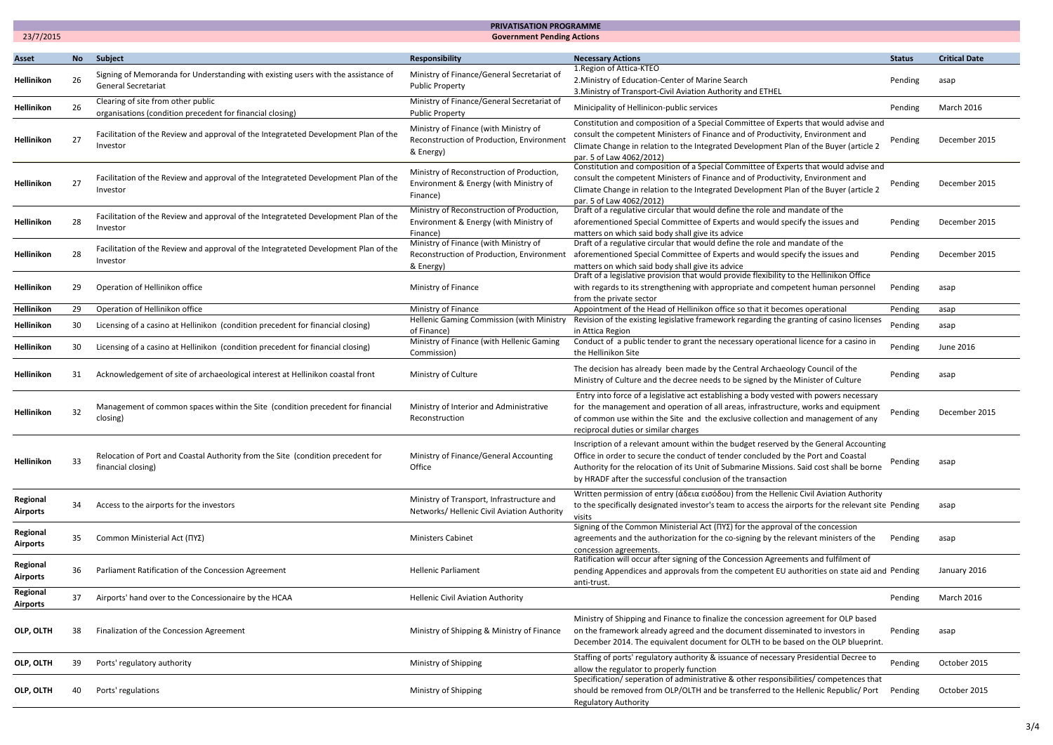|                             | <b>PRIVATISATION PROGRAMME</b>                 |                                                                                                                 |                                                                                                 |                                                                                                                                                                                                                                                                                                                                       |               |                      |  |  |
|-----------------------------|------------------------------------------------|-----------------------------------------------------------------------------------------------------------------|-------------------------------------------------------------------------------------------------|---------------------------------------------------------------------------------------------------------------------------------------------------------------------------------------------------------------------------------------------------------------------------------------------------------------------------------------|---------------|----------------------|--|--|
|                             | 23/7/2015<br><b>Government Pending Actions</b> |                                                                                                                 |                                                                                                 |                                                                                                                                                                                                                                                                                                                                       |               |                      |  |  |
| <b>Asset</b>                | <b>No</b>                                      | Subject                                                                                                         | Responsibility                                                                                  | <b>Necessary Actions</b>                                                                                                                                                                                                                                                                                                              | <b>Status</b> | <b>Critical Date</b> |  |  |
| <b>Hellinikon</b>           | 26                                             | Signing of Memoranda for Understanding with existing users with the assistance of<br><b>General Secretariat</b> | Ministry of Finance/General Secretariat of<br><b>Public Property</b>                            | 1. Region of Attica-KTEO<br>2. Ministry of Education-Center of Marine Search<br>3. Ministry of Transport-Civil Aviation Authority and ETHEL                                                                                                                                                                                           | Pending       | asap                 |  |  |
| Hellinikon                  | -26                                            | Clearing of site from other public<br>organisations (condition precedent for financial closing)                 | Ministry of Finance/General Secretariat of<br><b>Public Property</b>                            | Minicipality of Hellinicon-public services                                                                                                                                                                                                                                                                                            | Pending       | <b>March 2016</b>    |  |  |
| <b>Hellinikon</b>           | 27                                             | Facilitation of the Review and approval of the Integrateted Development Plan of the<br>Investor                 | Ministry of Finance (with Ministry of<br>Reconstruction of Production, Environment<br>& Energy) | Constitution and composition of a Special Committee of Experts that would advise and<br>consult the competent Ministers of Finance and of Productivity, Environment and<br>Climate Change in relation to the Integrated Development Plan of the Buyer (article 2<br>par. 5 of Law 4062/2012)                                          | Pending       | December 2015        |  |  |
| Hellinikon                  | 27                                             | Facilitation of the Review and approval of the Integrateted Development Plan of the<br>Investor                 | Ministry of Reconstruction of Production,<br>Environment & Energy (with Ministry of<br>Finance) | Constitution and composition of a Special Committee of Experts that would advise and<br>consult the competent Ministers of Finance and of Productivity, Environment and<br>Climate Change in relation to the Integrated Development Plan of the Buyer (article 2<br>par. 5 of Law 4062/2012)                                          | Pending       | December 2015        |  |  |
| <b>Hellinikon</b>           | 28                                             | Facilitation of the Review and approval of the Integrateted Development Plan of the<br>Investor                 | Ministry of Reconstruction of Production,<br>Environment & Energy (with Ministry of<br>Finance) | Draft of a regulative circular that would define the role and mandate of the<br>aforementioned Special Committee of Experts and would specify the issues and<br>matters on which said body shall give its advice                                                                                                                      | Pending       | December 2015        |  |  |
| <b>Hellinikon</b>           | 28                                             | Facilitation of the Review and approval of the Integrateted Development Plan of the<br>Investor                 | Ministry of Finance (with Ministry of<br>Reconstruction of Production, Environment<br>& Energy  | Draft of a regulative circular that would define the role and mandate of the<br>aforementioned Special Committee of Experts and would specify the issues and<br>matters on which said body shall give its advice                                                                                                                      | Pending       | December 2015        |  |  |
| Hellinikon                  | 29                                             | Operation of Hellinikon office                                                                                  | Ministry of Finance                                                                             | Draft of a legislative provision that would provide flexibility to the Hellinikon Office<br>with regards to its strengthening with appropriate and competent human personnel<br>from the private sector                                                                                                                               | Pending       | asap                 |  |  |
| Hellinikon                  | 29                                             | Operation of Hellinikon office                                                                                  | Ministry of Finance                                                                             | Appointment of the Head of Hellinikon office so that it becomes operational                                                                                                                                                                                                                                                           | Pending       | asap                 |  |  |
| <b>Hellinikon</b>           | 30                                             | Licensing of a casino at Hellinikon (condition precedent for financial closing)                                 | Hellenic Gaming Commission (with Ministry<br>of Finance)                                        | Revision of the existing legislative framework regarding the granting of casino licenses<br>in Attica Region                                                                                                                                                                                                                          | Pending       | asap                 |  |  |
| Hellinikon                  | 30                                             | Licensing of a casino at Hellinikon (condition precedent for financial closing)                                 | Ministry of Finance (with Hellenic Gaming<br>Commission)                                        | Conduct of a public tender to grant the necessary operational licence for a casino in<br>the Hellinikon Site                                                                                                                                                                                                                          | Pending       | June 2016            |  |  |
| Hellinikon                  | 31                                             | Acknowledgement of site of archaeological interest at Hellinikon coastal front                                  | Ministry of Culture                                                                             | The decision has already been made by the Central Archaeology Council of the<br>Ministry of Culture and the decree needs to be signed by the Minister of Culture                                                                                                                                                                      | Pending       | asap                 |  |  |
| Hellinikon                  | 32                                             | Management of common spaces within the Site (condition precedent for financial<br>closing)                      | Ministry of Interior and Administrative<br>Reconstruction                                       | Entry into force of a legislative act establishing a body vested with powers necessary<br>for the management and operation of all areas, infrastructure, works and equipment<br>of common use within the Site and the exclusive collection and management of any<br>reciprocal duties or similar charges                              | Pending       | December 2015        |  |  |
| Hellinikon                  | 33                                             | Relocation of Port and Coastal Authority from the Site (condition precedent for<br>financial closing)           | Ministry of Finance/General Accounting<br>Office                                                | Inscription of a relevant amount within the budget reserved by the General Accounting<br>Office in order to secure the conduct of tender concluded by the Port and Coastal<br>Authority for the relocation of its Unit of Submarine Missions. Said cost shall be borne<br>by HRADF after the successful conclusion of the transaction | Pending       | asap                 |  |  |
| Regional<br><b>Airports</b> | 34                                             | Access to the airports for the investors                                                                        | Ministry of Transport, Infrastructure and<br>Networks/ Hellenic Civil Aviation Authority        | Written permission of entry (άδεια εισόδου) from the Hellenic Civil Aviation Authority<br>to the specifically designated investor's team to access the airports for the relevant site Pending<br>visits                                                                                                                               |               | asap                 |  |  |
| Regional<br>Airports        | 35                                             | Common Ministerial Act (ΠΥΣ)                                                                                    | <b>Ministers Cabinet</b>                                                                        | Signing of the Common Ministerial Act ( $\Box$ Y2) for the approval of the concession<br>agreements and the authorization for the co-signing by the relevant ministers of the<br>concession agreements.                                                                                                                               | Pending       | asap                 |  |  |
| Regional<br>Airports        | 36                                             | Parliament Ratification of the Concession Agreement                                                             | <b>Hellenic Parliament</b>                                                                      | Ratification will occur after signing of the Concession Agreements and fulfilment of<br>pending Appendices and approvals from the competent EU authorities on state aid and Pending<br>anti-trust.                                                                                                                                    |               | January 2016         |  |  |
| Regional<br>Airports        | 37                                             | Airports' hand over to the Concessionaire by the HCAA                                                           | Hellenic Civil Aviation Authority                                                               |                                                                                                                                                                                                                                                                                                                                       | Pending       | <b>March 2016</b>    |  |  |
| OLP, OLTH                   |                                                | Finalization of the Concession Agreement                                                                        | Ministry of Shipping & Ministry of Finance                                                      | Ministry of Shipping and Finance to finalize the concession agreement for OLP based<br>on the framework already agreed and the document disseminated to investors in<br>December 2014. The equivalent document for OLTH to be based on the OLP blueprint.                                                                             | Pending       | asap                 |  |  |
| OLP, OLTH                   | 39                                             | Ports' regulatory authority                                                                                     | Ministry of Shipping                                                                            | Staffing of ports' regulatory authority & issuance of necessary Presidential Decree to<br>allow the regulator to properly function                                                                                                                                                                                                    | Pending       | October 2015         |  |  |
| OLP, OLTH                   |                                                | Ports' regulations                                                                                              | Ministry of Shipping                                                                            | Specification/ seperation of administrative & other responsibilities/ competences that<br>should be removed from OLP/OLTH and be transferred to the Hellenic Republic/ Port<br><b>Regulatory Authority</b>                                                                                                                            | Pending       | October 2015         |  |  |